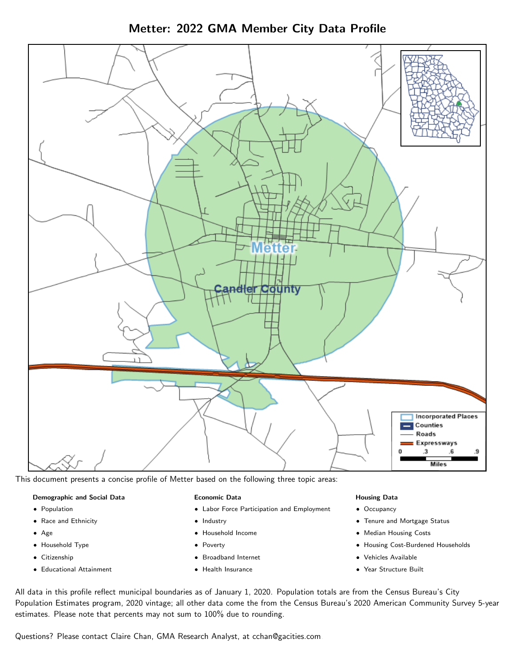Metter: 2022 GMA Member City Data Profile



This document presents a concise profile of Metter based on the following three topic areas:

#### Demographic and Social Data

- **•** Population
- Race and Ethnicity
- Age
- Household Type
- **Citizenship**
- Educational Attainment

#### Economic Data

- Labor Force Participation and Employment
- Industry
- Household Income
- Poverty
- Broadband Internet
- Health Insurance

#### Housing Data

- Occupancy
- Tenure and Mortgage Status
- Median Housing Costs
- Housing Cost-Burdened Households
- Vehicles Available
- Year Structure Built

All data in this profile reflect municipal boundaries as of January 1, 2020. Population totals are from the Census Bureau's City Population Estimates program, 2020 vintage; all other data come the from the Census Bureau's 2020 American Community Survey 5-year estimates. Please note that percents may not sum to 100% due to rounding.

Questions? Please contact Claire Chan, GMA Research Analyst, at [cchan@gacities.com.](mailto:cchan@gacities.com)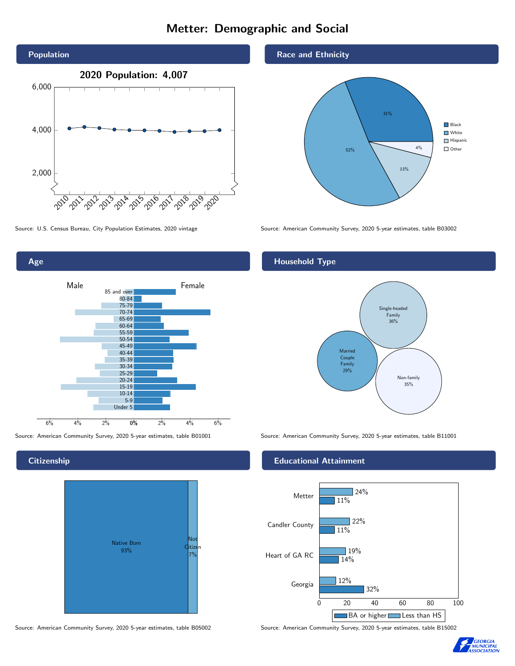# Metter: Demographic and Social





**Citizenship** 



Source: American Community Survey, 2020 5-year estimates, table B05002 Source: American Community Survey, 2020 5-year estimates, table B15002

### Race and Ethnicity



Source: U.S. Census Bureau, City Population Estimates, 2020 vintage Source: American Community Survey, 2020 5-year estimates, table B03002

## Household Type



Source: American Community Survey, 2020 5-year estimates, table B01001 Source: American Community Survey, 2020 5-year estimates, table B11001

## Educational Attainment



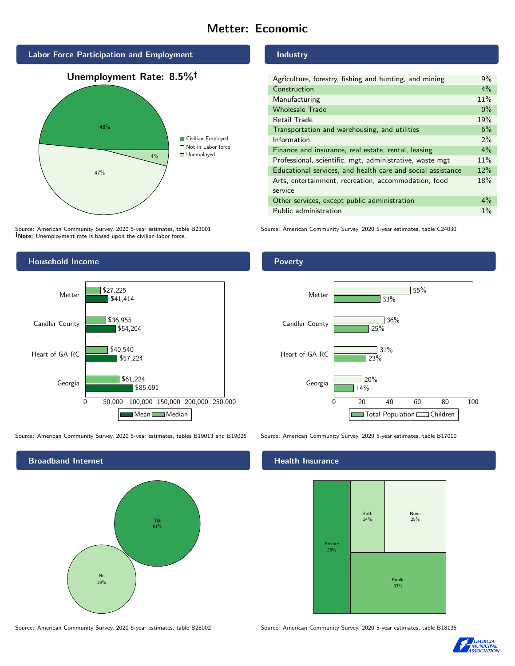# Metter: Economic



Source: American Community Survey, 2020 5-year estimates, table B23001 Note: Unemployment rate is based upon the civilian labor force.



Source: American Community Survey, 2020 5-year estimates, tables B19013 and B19025 Source: American Community Survey, 2020 5-year estimates, table B17010



Source: American Community Survey, 2020 5-year estimates, table B28002 Source: American Community Survey, 2020 5-year estimates, table B18135

Industry

| Agriculture, forestry, fishing and hunting, and mining      | $9\%$ |
|-------------------------------------------------------------|-------|
| Construction                                                | $4\%$ |
| Manufacturing                                               | 11%   |
| <b>Wholesale Trade</b>                                      | $0\%$ |
| Retail Trade                                                | 19%   |
| Transportation and warehousing, and utilities               | 6%    |
| Information                                                 | $2\%$ |
| Finance and insurance, real estate, rental, leasing         | 4%    |
| Professional, scientific, mgt, administrative, waste mgt    | 11%   |
| Educational services, and health care and social assistance | 12%   |
| Arts, entertainment, recreation, accommodation, food        | 18%   |
| service                                                     |       |
| Other services, except public administration                | $4\%$ |
| Public administration                                       | $1\%$ |

Source: American Community Survey, 2020 5-year estimates, table C24030

Poverty



## **Health Insurance**